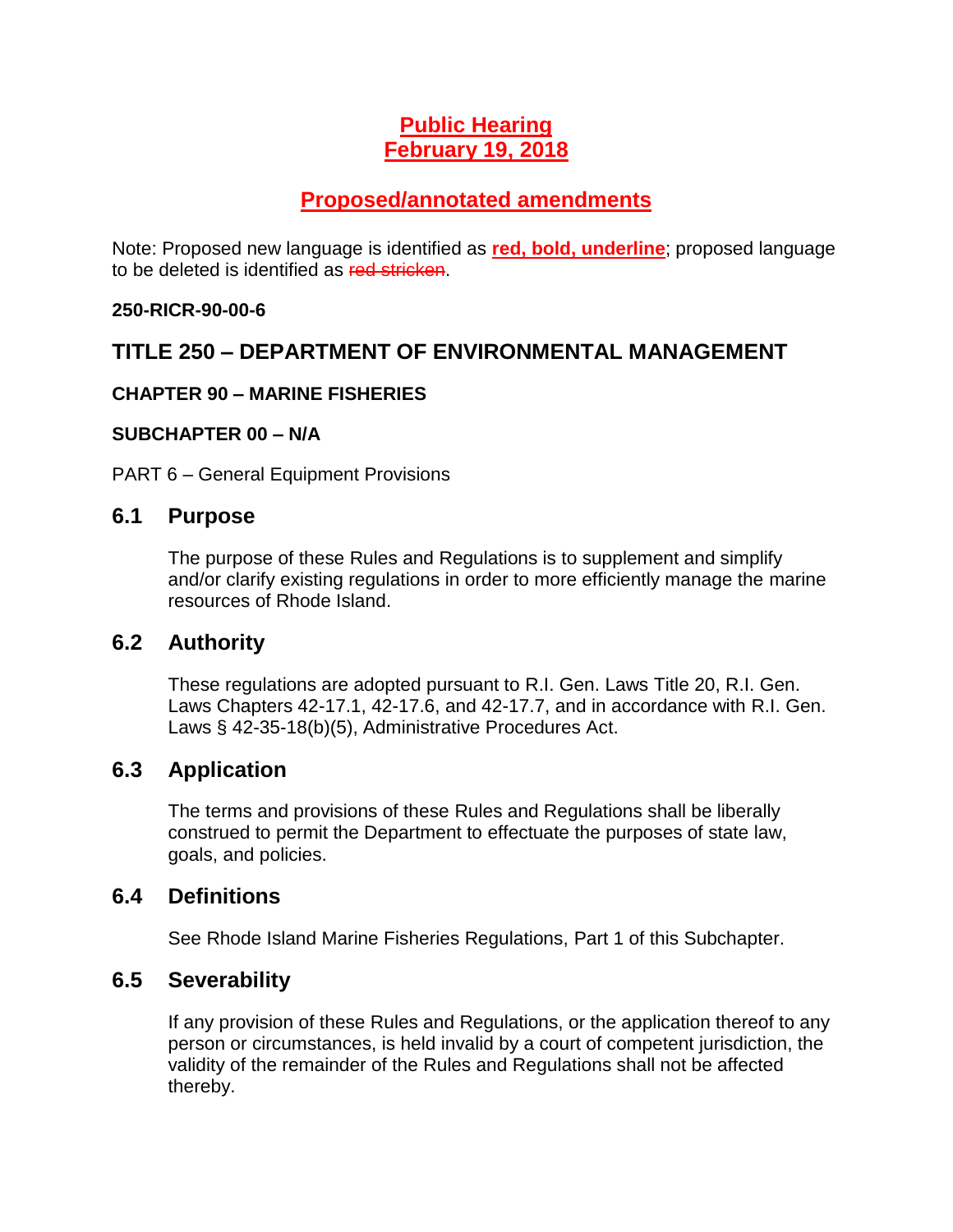# **Public Hearing February 19, 2018**

# **Proposed/annotated amendments**

Note: Proposed new language is identified as **red, bold, underline**; proposed language to be deleted is identified as red stricken.

### **250-RICR-90-00-6**

## **TITLE 250 – DEPARTMENT OF ENVIRONMENTAL MANAGEMENT**

### **CHAPTER 90 – MARINE FISHERIES**

#### **SUBCHAPTER 00 – N/A**

PART 6 – General Equipment Provisions

### **6.1 Purpose**

The purpose of these Rules and Regulations is to supplement and simplify and/or clarify existing regulations in order to more efficiently manage the marine resources of Rhode Island.

### **6.2 Authority**

These regulations are adopted pursuant to R.I. Gen. Laws Title 20, R.I. Gen. Laws Chapters 42-17.1, 42-17.6, and 42-17.7, and in accordance with R.I. Gen. Laws § 42-35-18(b)(5), Administrative Procedures Act.

## **6.3 Application**

The terms and provisions of these Rules and Regulations shall be liberally construed to permit the Department to effectuate the purposes of state law, goals, and policies.

## **6.4 Definitions**

See Rhode Island Marine Fisheries Regulations, Part 1 of this Subchapter.

## **6.5 Severability**

If any provision of these Rules and Regulations, or the application thereof to any person or circumstances, is held invalid by a court of competent jurisdiction, the validity of the remainder of the Rules and Regulations shall not be affected thereby.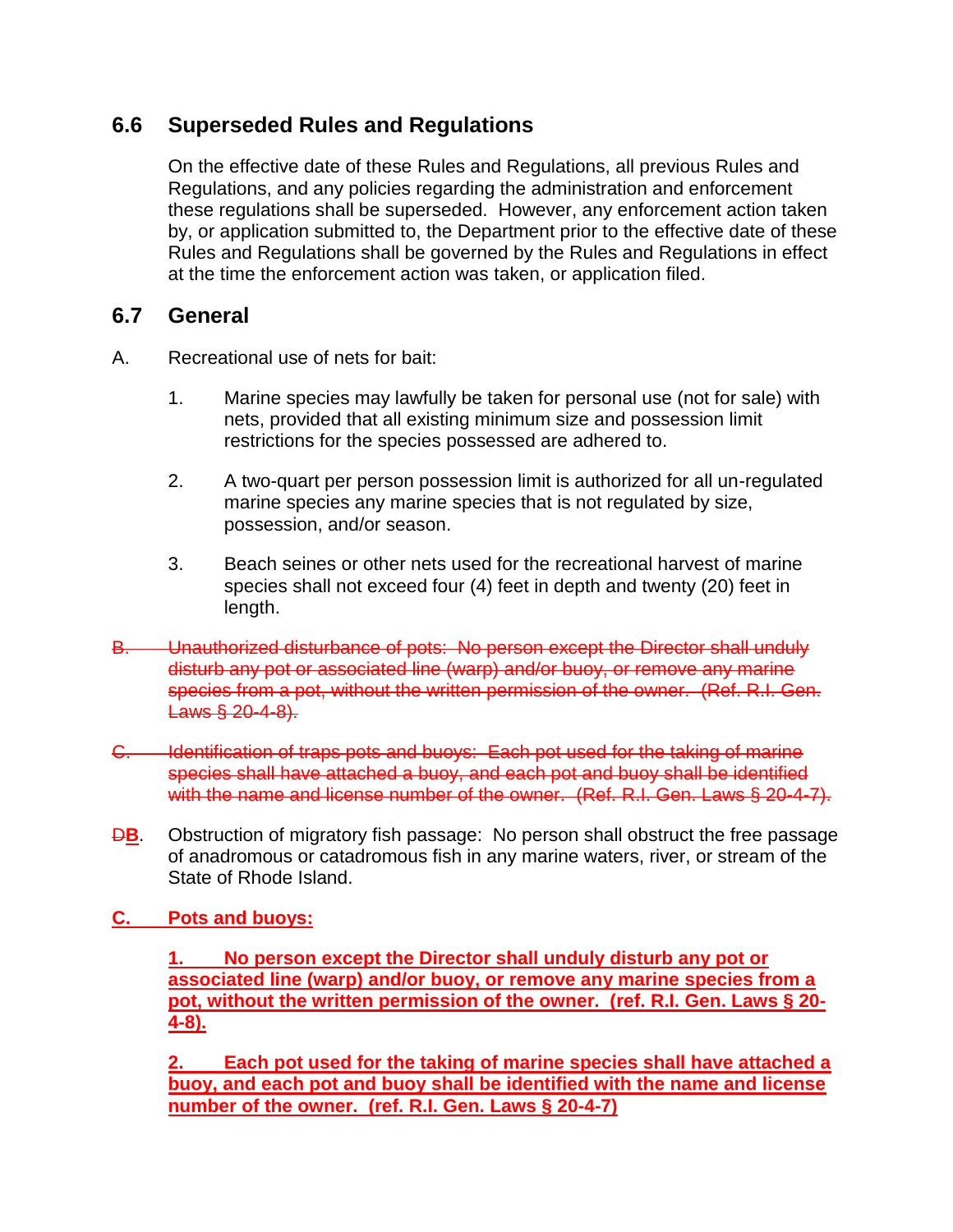## **6.6 Superseded Rules and Regulations**

On the effective date of these Rules and Regulations, all previous Rules and Regulations, and any policies regarding the administration and enforcement these regulations shall be superseded. However, any enforcement action taken by, or application submitted to, the Department prior to the effective date of these Rules and Regulations shall be governed by the Rules and Regulations in effect at the time the enforcement action was taken, or application filed.

## **6.7 General**

- A. Recreational use of nets for bait:
	- 1. Marine species may lawfully be taken for personal use (not for sale) with nets, provided that all existing minimum size and possession limit restrictions for the species possessed are adhered to.
	- 2. A two-quart per person possession limit is authorized for all un-regulated marine species any marine species that is not regulated by size, possession, and/or season.
	- 3. Beach seines or other nets used for the recreational harvest of marine species shall not exceed four (4) feet in depth and twenty (20) feet in length.
- B. Unauthorized disturbance of pots: No person except the Director shall unduly disturb any pot or associated line (warp) and/or buoy, or remove any marine species from a pot, without the written permission of the owner. (Ref. R.I. Gen. Laws § 20-4-8).
- C. Identification of traps pots and buoys: Each pot used for the taking of marine species shall have attached a buoy, and each pot and buoy shall be identified with the name and license number of the owner. (Ref. R.I. Gen. Laws § 20-4-7).
- **DB.** Obstruction of migratory fish passage: No person shall obstruct the free passage of anadromous or catadromous fish in any marine waters, river, or stream of the State of Rhode Island.
- **C. Pots and buoys:**

**1. No person except the Director shall unduly disturb any pot or associated line (warp) and/or buoy, or remove any marine species from a pot, without the written permission of the owner. (ref. R.I. Gen. Laws § 20- 4-8).**

**2. Each pot used for the taking of marine species shall have attached a buoy, and each pot and buoy shall be identified with the name and license number of the owner. (ref. R.I. Gen. Laws § 20-4-7)**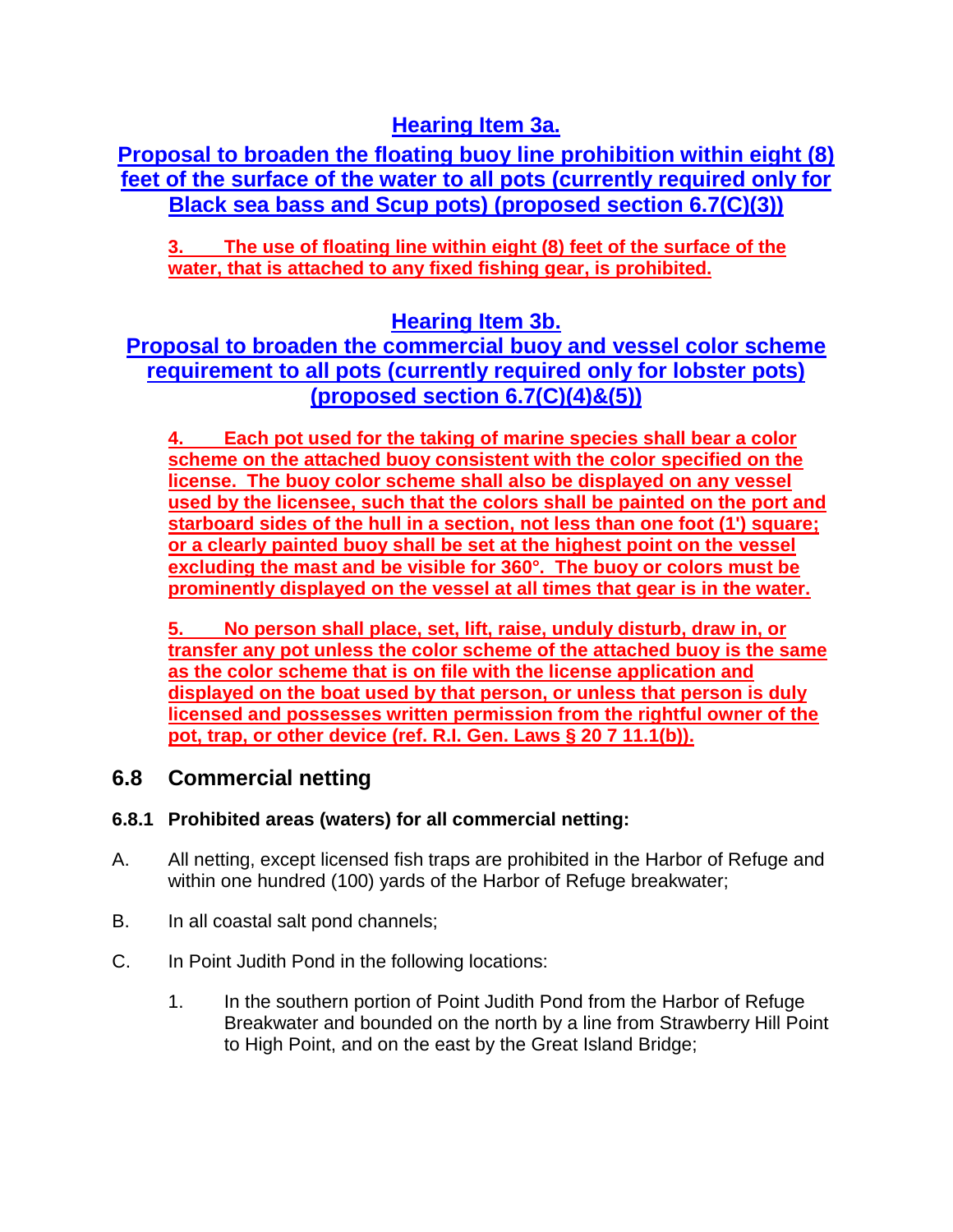**Hearing Item 3a.**

**Proposal to broaden the floating buoy line prohibition within eight (8) feet of the surface of the water to all pots (currently required only for Black sea bass and Scup pots) (proposed section 6.7(C)(3))**

**3. The use of floating line within eight (8) feet of the surface of the water, that is attached to any fixed fishing gear, is prohibited.**

# **Hearing Item 3b.**

## **Proposal to broaden the commercial buoy and vessel color scheme requirement to all pots (currently required only for lobster pots) (proposed section 6.7(C)(4)&(5))**

**4. Each pot used for the taking of marine species shall bear a color scheme on the attached buoy consistent with the color specified on the license. The buoy color scheme shall also be displayed on any vessel used by the licensee, such that the colors shall be painted on the port and starboard sides of the hull in a section, not less than one foot (1') square; or a clearly painted buoy shall be set at the highest point on the vessel excluding the mast and be visible for 360°. The buoy or colors must be prominently displayed on the vessel at all times that gear is in the water.**

**5. No person shall place, set, lift, raise, unduly disturb, draw in, or transfer any pot unless the color scheme of the attached buoy is the same as the color scheme that is on file with the license application and displayed on the boat used by that person, or unless that person is duly licensed and possesses written permission from the rightful owner of the pot, trap, or other device (ref. R.I. Gen. Laws § 20 7 11.1(b)).**

## **6.8 Commercial netting**

### **6.8.1 Prohibited areas (waters) for all commercial netting:**

- A. All netting, except licensed fish traps are prohibited in the Harbor of Refuge and within one hundred (100) yards of the Harbor of Refuge breakwater;
- B. In all coastal salt pond channels;
- C. In Point Judith Pond in the following locations:
	- 1. In the southern portion of Point Judith Pond from the Harbor of Refuge Breakwater and bounded on the north by a line from Strawberry Hill Point to High Point, and on the east by the Great Island Bridge;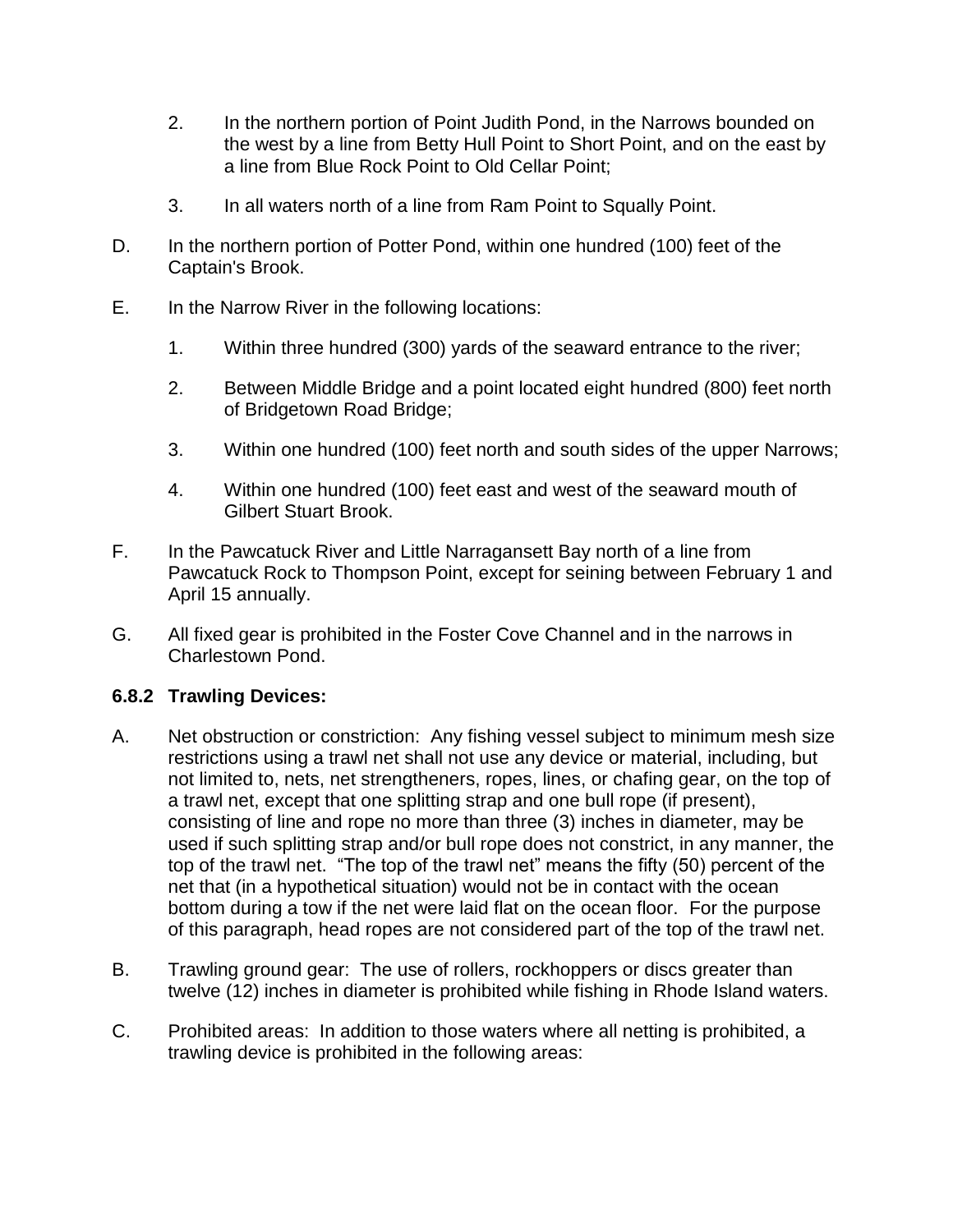- 2. In the northern portion of Point Judith Pond, in the Narrows bounded on the west by a line from Betty Hull Point to Short Point, and on the east by a line from Blue Rock Point to Old Cellar Point;
- 3. In all waters north of a line from Ram Point to Squally Point.
- D. In the northern portion of Potter Pond, within one hundred (100) feet of the Captain's Brook.
- E. In the Narrow River in the following locations:
	- 1. Within three hundred (300) yards of the seaward entrance to the river;
	- 2. Between Middle Bridge and a point located eight hundred (800) feet north of Bridgetown Road Bridge;
	- 3. Within one hundred (100) feet north and south sides of the upper Narrows;
	- 4. Within one hundred (100) feet east and west of the seaward mouth of Gilbert Stuart Brook.
- F. In the Pawcatuck River and Little Narragansett Bay north of a line from Pawcatuck Rock to Thompson Point, except for seining between February 1 and April 15 annually.
- G. All fixed gear is prohibited in the Foster Cove Channel and in the narrows in Charlestown Pond.

### **6.8.2 Trawling Devices:**

- A. Net obstruction or constriction: Any fishing vessel subject to minimum mesh size restrictions using a trawl net shall not use any device or material, including, but not limited to, nets, net strengtheners, ropes, lines, or chafing gear, on the top of a trawl net, except that one splitting strap and one bull rope (if present), consisting of line and rope no more than three (3) inches in diameter, may be used if such splitting strap and/or bull rope does not constrict, in any manner, the top of the trawl net. "The top of the trawl net" means the fifty (50) percent of the net that (in a hypothetical situation) would not be in contact with the ocean bottom during a tow if the net were laid flat on the ocean floor. For the purpose of this paragraph, head ropes are not considered part of the top of the trawl net.
- B. Trawling ground gear: The use of rollers, rockhoppers or discs greater than twelve (12) inches in diameter is prohibited while fishing in Rhode Island waters.
- C. Prohibited areas: In addition to those waters where all netting is prohibited, a trawling device is prohibited in the following areas: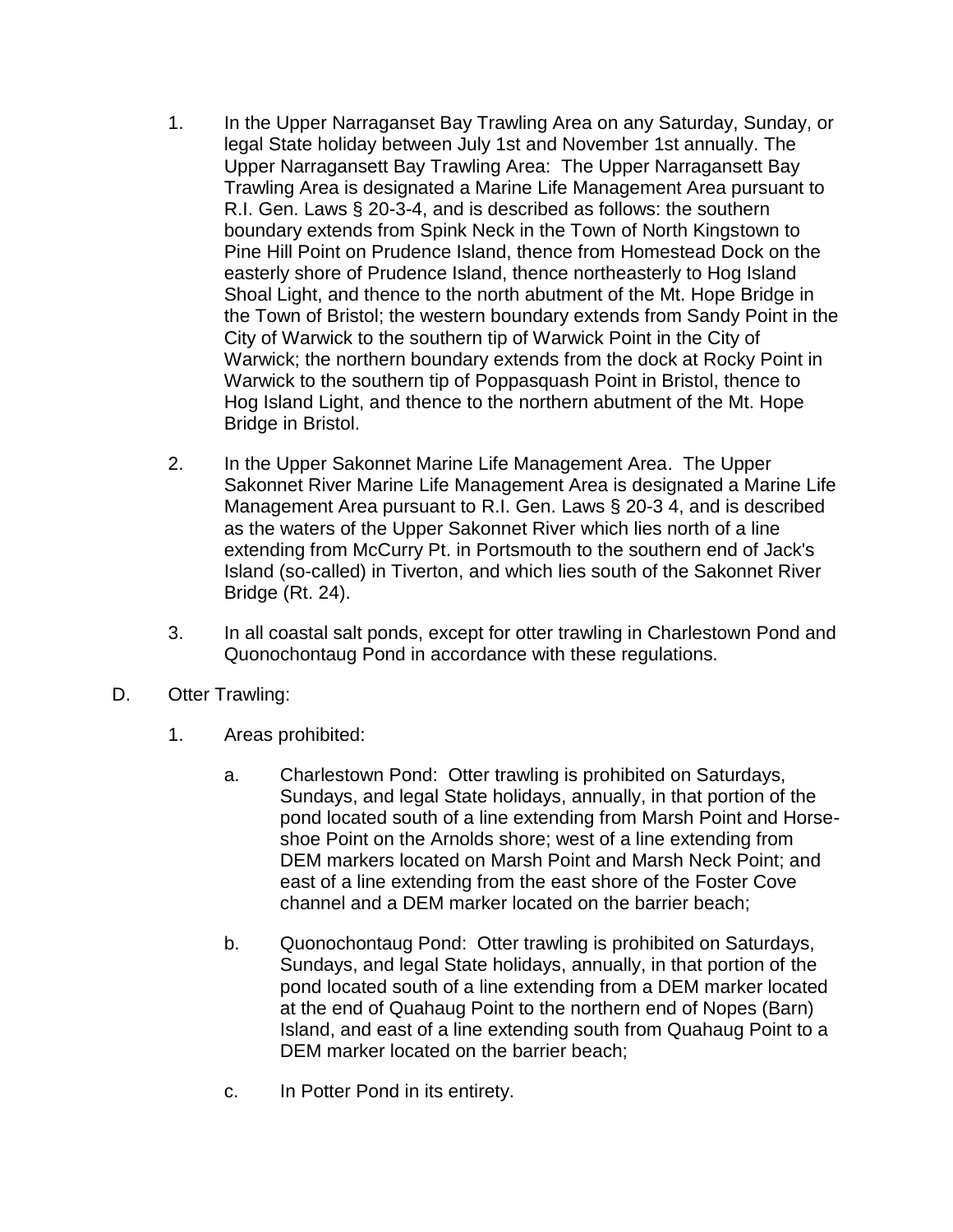- 1. In the Upper Narraganset Bay Trawling Area on any Saturday, Sunday, or legal State holiday between July 1st and November 1st annually. The Upper Narragansett Bay Trawling Area: The Upper Narragansett Bay Trawling Area is designated a Marine Life Management Area pursuant to R.I. Gen. Laws § 20-3-4, and is described as follows: the southern boundary extends from Spink Neck in the Town of North Kingstown to Pine Hill Point on Prudence Island, thence from Homestead Dock on the easterly shore of Prudence Island, thence northeasterly to Hog Island Shoal Light, and thence to the north abutment of the Mt. Hope Bridge in the Town of Bristol; the western boundary extends from Sandy Point in the City of Warwick to the southern tip of Warwick Point in the City of Warwick; the northern boundary extends from the dock at Rocky Point in Warwick to the southern tip of Poppasquash Point in Bristol, thence to Hog Island Light, and thence to the northern abutment of the Mt. Hope Bridge in Bristol.
- 2. In the Upper Sakonnet Marine Life Management Area. The Upper Sakonnet River Marine Life Management Area is designated a Marine Life Management Area pursuant to R.I. Gen. Laws § 20-3 4, and is described as the waters of the Upper Sakonnet River which lies north of a line extending from McCurry Pt. in Portsmouth to the southern end of Jack's Island (so-called) in Tiverton, and which lies south of the Sakonnet River Bridge (Rt. 24).
- 3. In all coastal salt ponds, except for otter trawling in Charlestown Pond and Quonochontaug Pond in accordance with these regulations.
- D. Otter Trawling:
	- 1. Areas prohibited:
		- a. Charlestown Pond: Otter trawling is prohibited on Saturdays, Sundays, and legal State holidays, annually, in that portion of the pond located south of a line extending from Marsh Point and Horseshoe Point on the Arnolds shore; west of a line extending from DEM markers located on Marsh Point and Marsh Neck Point; and east of a line extending from the east shore of the Foster Cove channel and a DEM marker located on the barrier beach;
		- b. Quonochontaug Pond: Otter trawling is prohibited on Saturdays, Sundays, and legal State holidays, annually, in that portion of the pond located south of a line extending from a DEM marker located at the end of Quahaug Point to the northern end of Nopes (Barn) Island, and east of a line extending south from Quahaug Point to a DEM marker located on the barrier beach;
		- c. In Potter Pond in its entirety.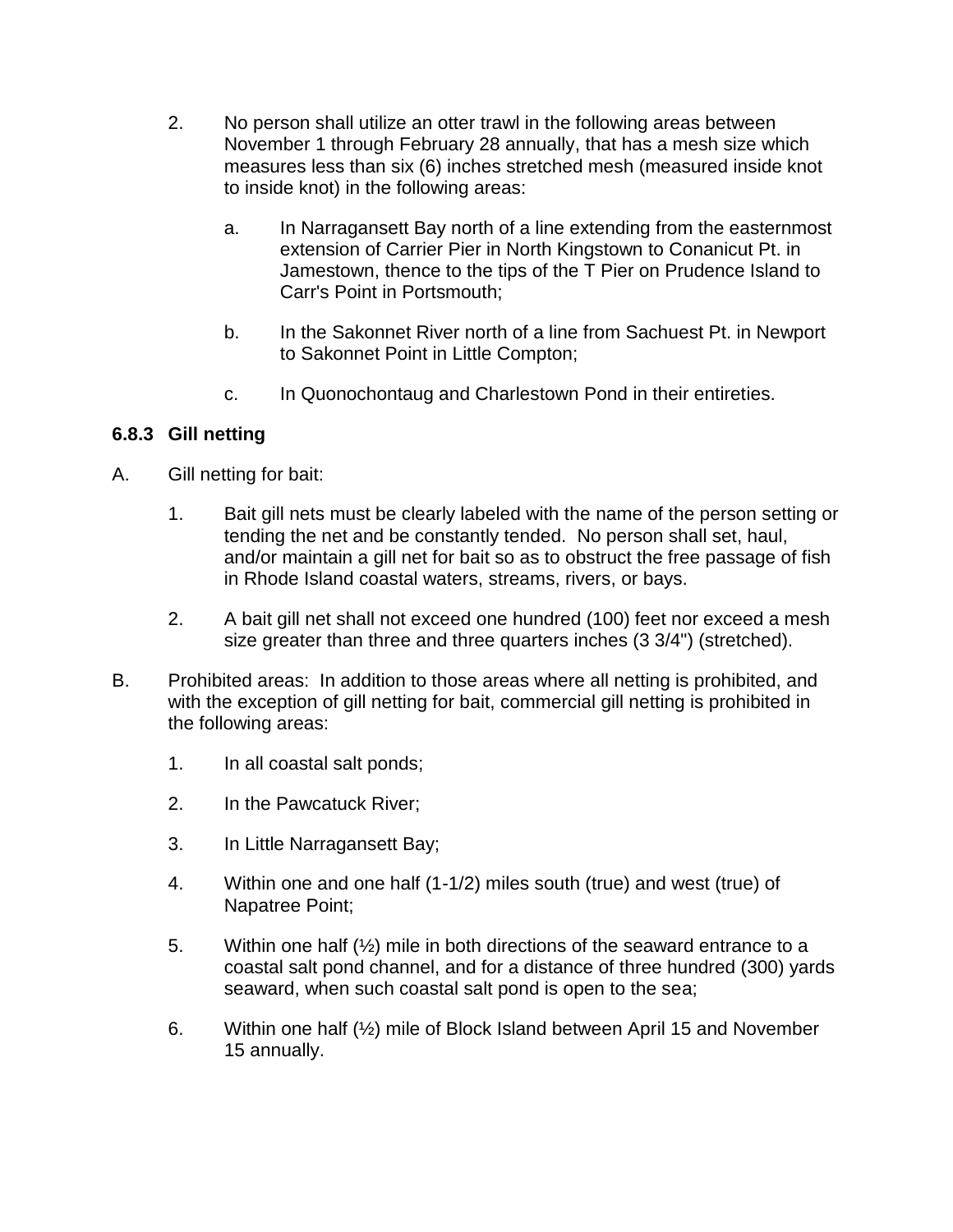- 2. No person shall utilize an otter trawl in the following areas between November 1 through February 28 annually, that has a mesh size which measures less than six (6) inches stretched mesh (measured inside knot to inside knot) in the following areas:
	- a. In Narragansett Bay north of a line extending from the easternmost extension of Carrier Pier in North Kingstown to Conanicut Pt. in Jamestown, thence to the tips of the T Pier on Prudence Island to Carr's Point in Portsmouth;
	- b. In the Sakonnet River north of a line from Sachuest Pt. in Newport to Sakonnet Point in Little Compton;
	- c. In Quonochontaug and Charlestown Pond in their entireties.

### **6.8.3 Gill netting**

- A. Gill netting for bait:
	- 1. Bait gill nets must be clearly labeled with the name of the person setting or tending the net and be constantly tended. No person shall set, haul, and/or maintain a gill net for bait so as to obstruct the free passage of fish in Rhode Island coastal waters, streams, rivers, or bays.
	- 2. A bait gill net shall not exceed one hundred (100) feet nor exceed a mesh size greater than three and three quarters inches (3 3/4") (stretched).
- B. Prohibited areas: In addition to those areas where all netting is prohibited, and with the exception of gill netting for bait, commercial gill netting is prohibited in the following areas:
	- 1. In all coastal salt ponds;
	- 2. In the Pawcatuck River;
	- 3. In Little Narragansett Bay;
	- 4. Within one and one half (1-1/2) miles south (true) and west (true) of Napatree Point;
	- 5. Within one half (½) mile in both directions of the seaward entrance to a coastal salt pond channel, and for a distance of three hundred (300) yards seaward, when such coastal salt pond is open to the sea;
	- 6. Within one half (½) mile of Block Island between April 15 and November 15 annually.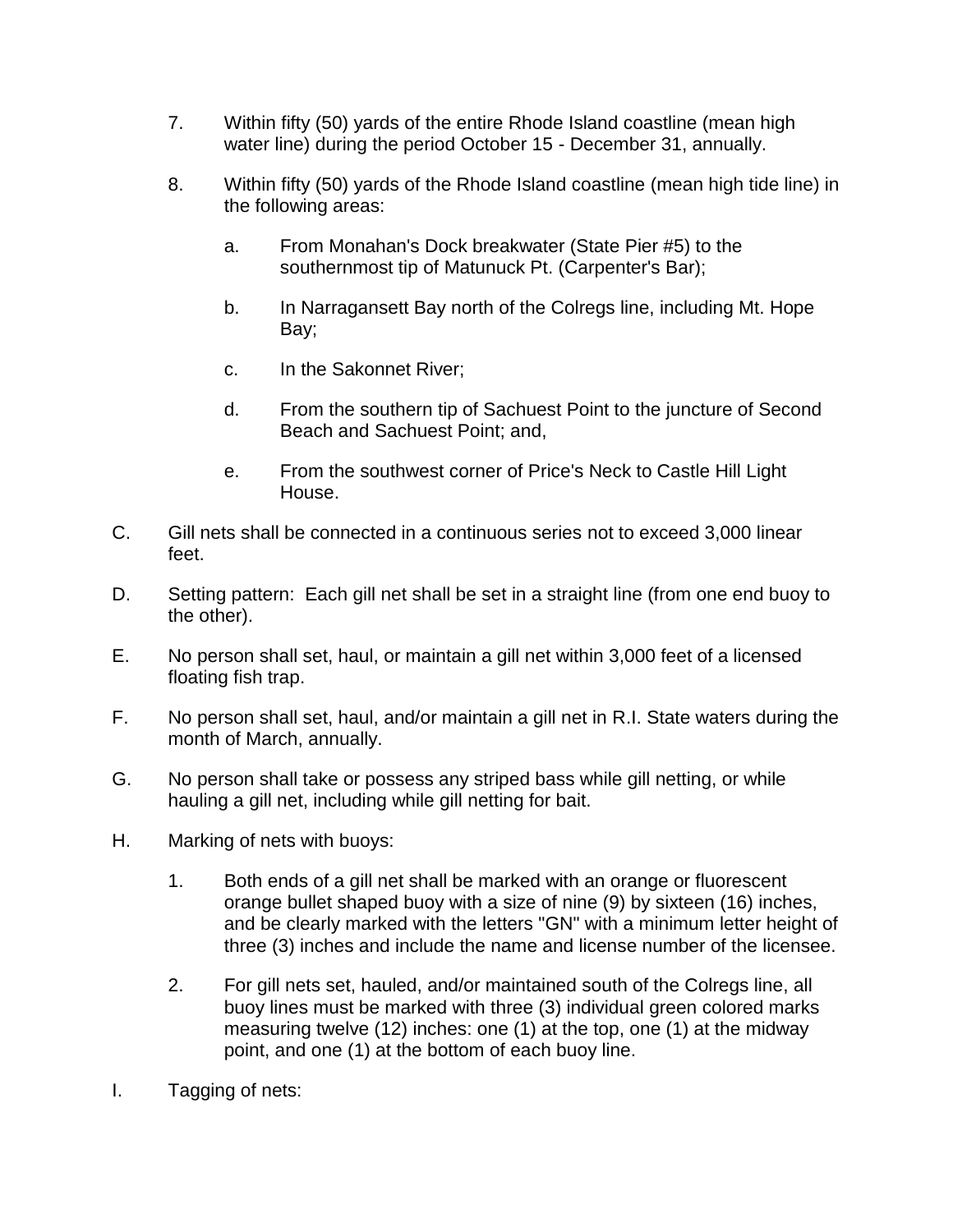- 7. Within fifty (50) yards of the entire Rhode Island coastline (mean high water line) during the period October 15 - December 31, annually.
- 8. Within fifty (50) yards of the Rhode Island coastline (mean high tide line) in the following areas:
	- a. From Monahan's Dock breakwater (State Pier #5) to the southernmost tip of Matunuck Pt. (Carpenter's Bar);
	- b. In Narragansett Bay north of the Colregs line, including Mt. Hope Bay;
	- c. In the Sakonnet River;
	- d. From the southern tip of Sachuest Point to the juncture of Second Beach and Sachuest Point; and,
	- e. From the southwest corner of Price's Neck to Castle Hill Light House.
- C. Gill nets shall be connected in a continuous series not to exceed 3,000 linear feet.
- D. Setting pattern: Each gill net shall be set in a straight line (from one end buoy to the other).
- E. No person shall set, haul, or maintain a gill net within 3,000 feet of a licensed floating fish trap.
- F. No person shall set, haul, and/or maintain a gill net in R.I. State waters during the month of March, annually.
- G. No person shall take or possess any striped bass while gill netting, or while hauling a gill net, including while gill netting for bait.
- H. Marking of nets with buoys:
	- 1. Both ends of a gill net shall be marked with an orange or fluorescent orange bullet shaped buoy with a size of nine (9) by sixteen (16) inches, and be clearly marked with the letters "GN" with a minimum letter height of three (3) inches and include the name and license number of the licensee.
	- 2. For gill nets set, hauled, and/or maintained south of the Colregs line, all buoy lines must be marked with three (3) individual green colored marks measuring twelve (12) inches: one (1) at the top, one (1) at the midway point, and one (1) at the bottom of each buoy line.
- I. Tagging of nets: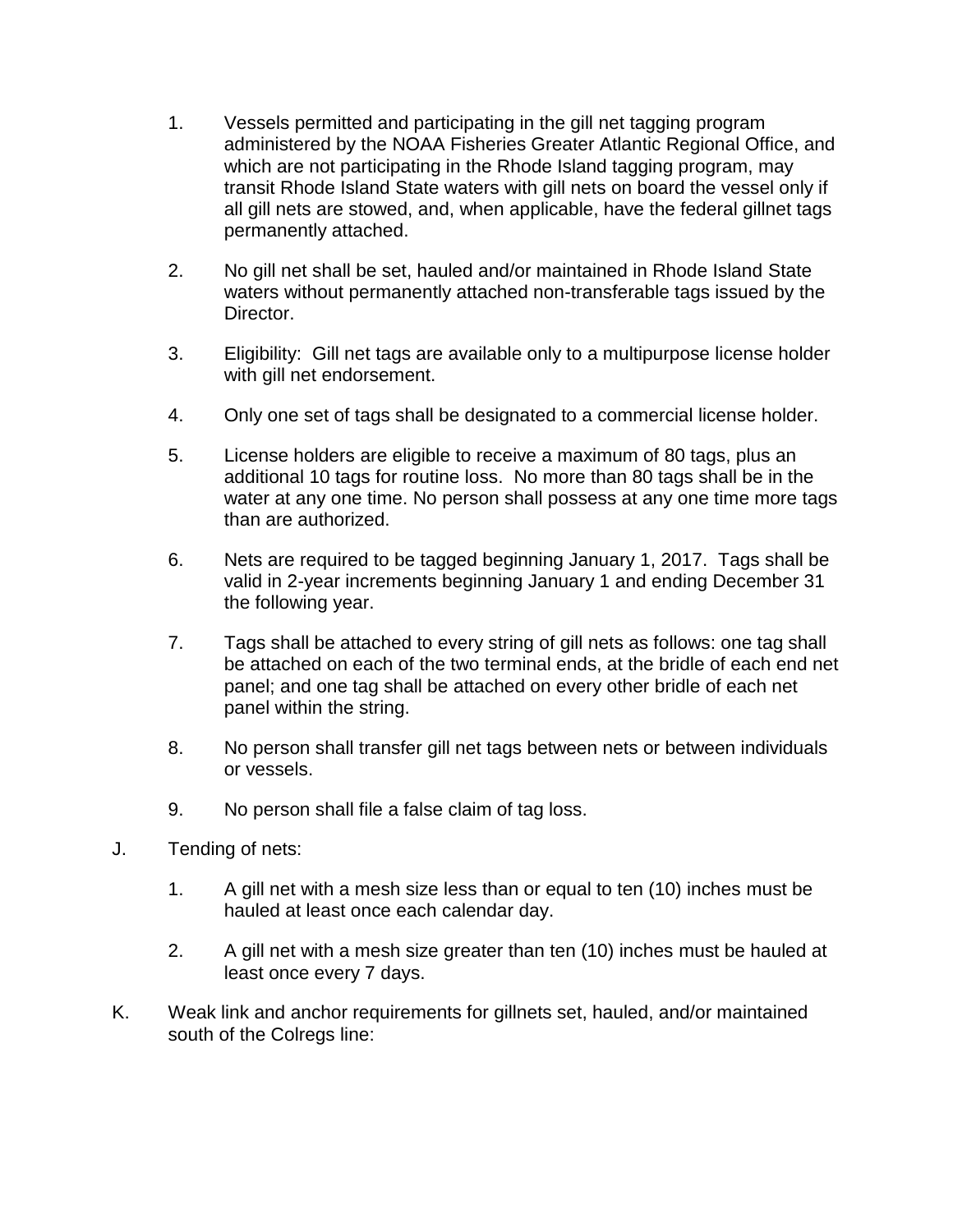- 1. Vessels permitted and participating in the gill net tagging program administered by the NOAA Fisheries Greater Atlantic Regional Office, and which are not participating in the Rhode Island tagging program, may transit Rhode Island State waters with gill nets on board the vessel only if all gill nets are stowed, and, when applicable, have the federal gillnet tags permanently attached.
- 2. No gill net shall be set, hauled and/or maintained in Rhode Island State waters without permanently attached non-transferable tags issued by the Director.
- 3. Eligibility: Gill net tags are available only to a multipurpose license holder with gill net endorsement.
- 4. Only one set of tags shall be designated to a commercial license holder.
- 5. License holders are eligible to receive a maximum of 80 tags, plus an additional 10 tags for routine loss. No more than 80 tags shall be in the water at any one time. No person shall possess at any one time more tags than are authorized.
- 6. Nets are required to be tagged beginning January 1, 2017. Tags shall be valid in 2-year increments beginning January 1 and ending December 31 the following year.
- 7. Tags shall be attached to every string of gill nets as follows: one tag shall be attached on each of the two terminal ends, at the bridle of each end net panel; and one tag shall be attached on every other bridle of each net panel within the string.
- 8. No person shall transfer gill net tags between nets or between individuals or vessels.
- 9. No person shall file a false claim of tag loss.
- J. Tending of nets:
	- 1. A gill net with a mesh size less than or equal to ten (10) inches must be hauled at least once each calendar day.
	- 2. A gill net with a mesh size greater than ten (10) inches must be hauled at least once every 7 days.
- K. Weak link and anchor requirements for gillnets set, hauled, and/or maintained south of the Colregs line: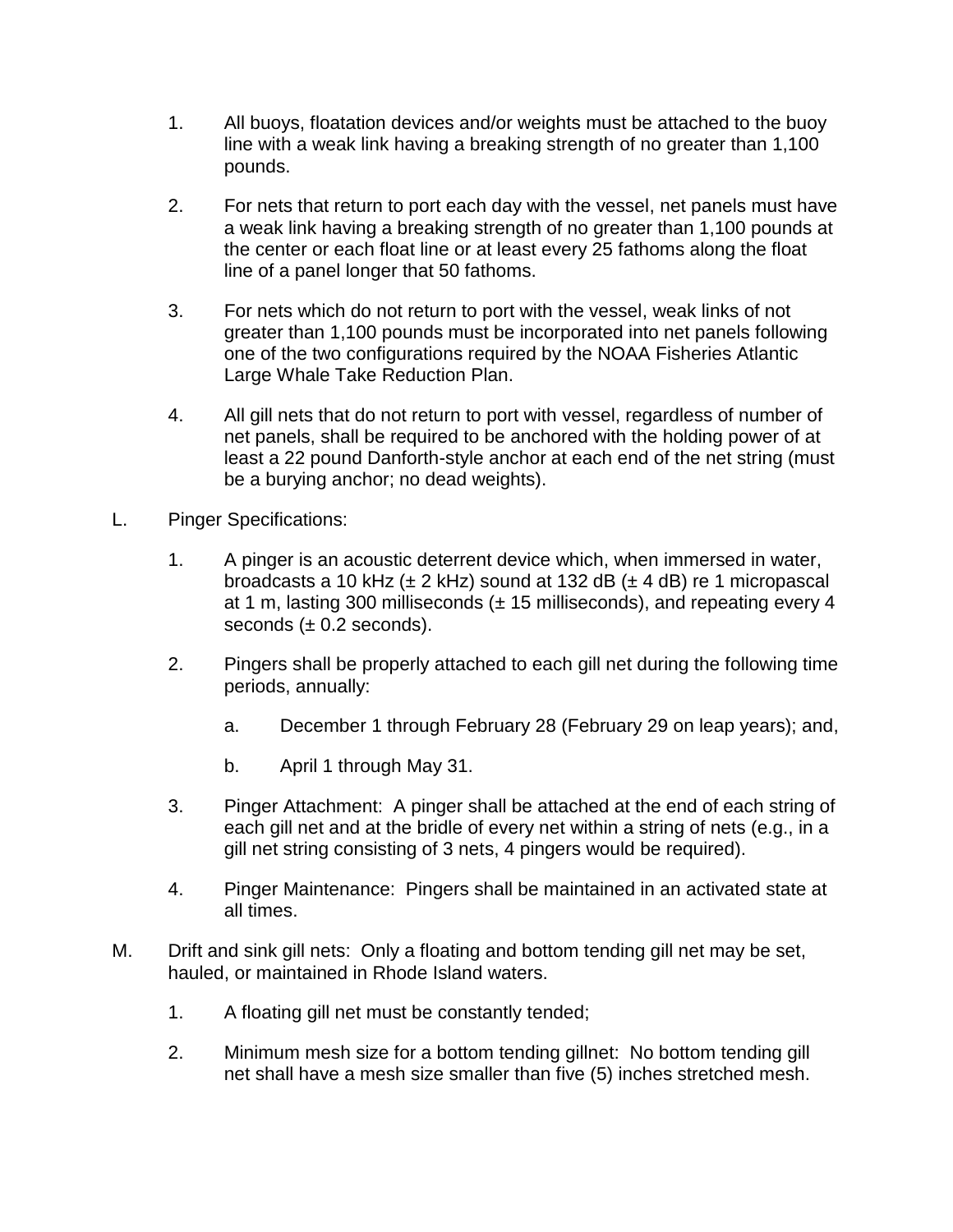- 1. All buoys, floatation devices and/or weights must be attached to the buoy line with a weak link having a breaking strength of no greater than 1,100 pounds.
- 2. For nets that return to port each day with the vessel, net panels must have a weak link having a breaking strength of no greater than 1,100 pounds at the center or each float line or at least every 25 fathoms along the float line of a panel longer that 50 fathoms.
- 3. For nets which do not return to port with the vessel, weak links of not greater than 1,100 pounds must be incorporated into net panels following one of the two configurations required by the NOAA Fisheries Atlantic Large Whale Take Reduction Plan.
- 4. All gill nets that do not return to port with vessel, regardless of number of net panels, shall be required to be anchored with the holding power of at least a 22 pound Danforth-style anchor at each end of the net string (must be a burying anchor; no dead weights).
- L. Pinger Specifications:
	- 1. A pinger is an acoustic deterrent device which, when immersed in water, broadcasts a 10 kHz ( $\pm$  2 kHz) sound at 132 dB ( $\pm$  4 dB) re 1 micropascal at 1 m, lasting 300 milliseconds  $(± 15$  milliseconds), and repeating every 4 seconds  $(\pm 0.2$  seconds).
	- 2. Pingers shall be properly attached to each gill net during the following time periods, annually:
		- a. December 1 through February 28 (February 29 on leap years); and,
		- b. April 1 through May 31.
	- 3. Pinger Attachment: A pinger shall be attached at the end of each string of each gill net and at the bridle of every net within a string of nets (e.g., in a gill net string consisting of 3 nets, 4 pingers would be required).
	- 4. Pinger Maintenance: Pingers shall be maintained in an activated state at all times.
- M. Drift and sink gill nets: Only a floating and bottom tending gill net may be set, hauled, or maintained in Rhode Island waters.
	- 1. A floating gill net must be constantly tended;
	- 2. Minimum mesh size for a bottom tending gillnet: No bottom tending gill net shall have a mesh size smaller than five (5) inches stretched mesh.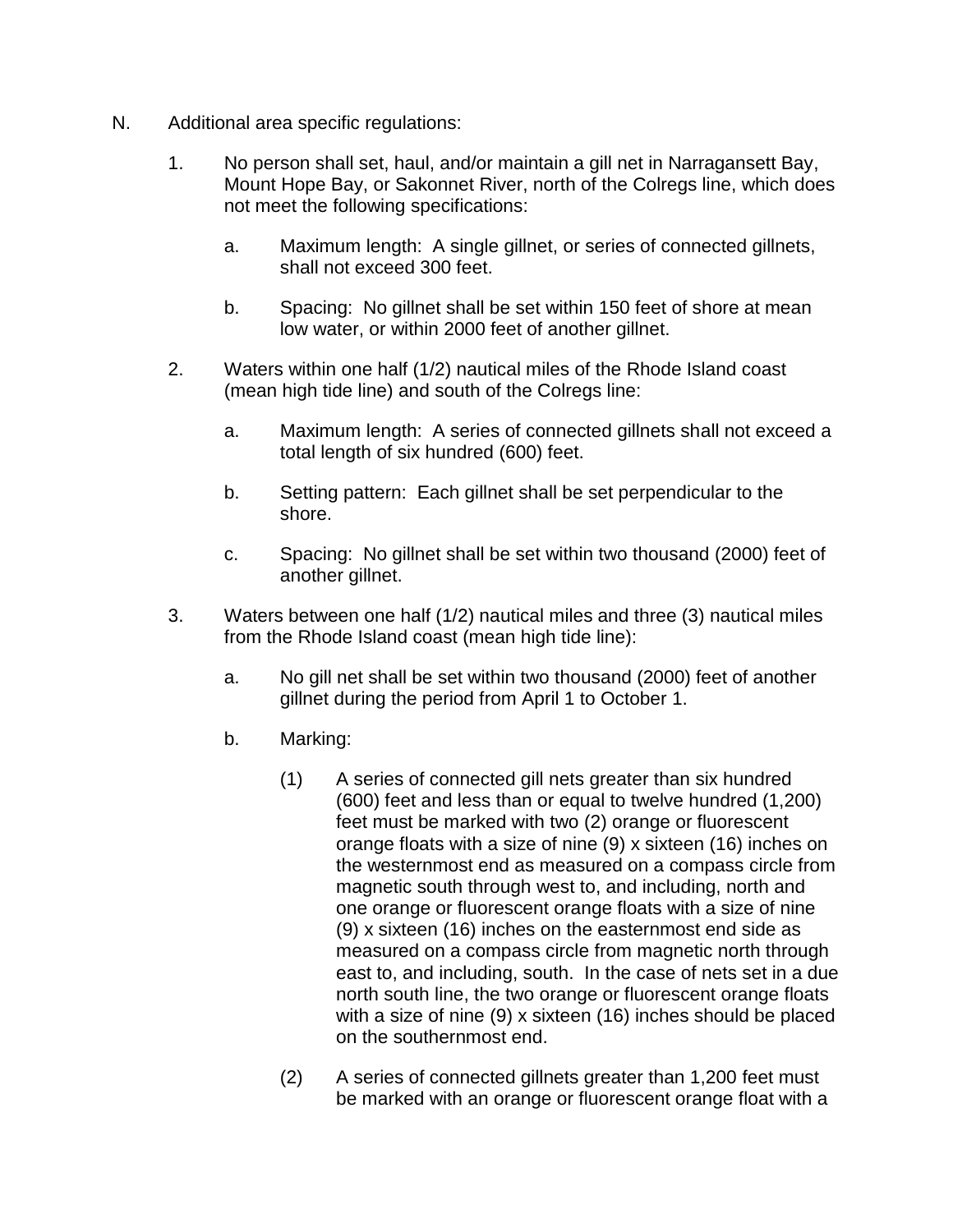- N. Additional area specific regulations:
	- 1. No person shall set, haul, and/or maintain a gill net in Narragansett Bay, Mount Hope Bay, or Sakonnet River, north of the Colregs line, which does not meet the following specifications:
		- a. Maximum length: A single gillnet, or series of connected gillnets, shall not exceed 300 feet.
		- b. Spacing: No gillnet shall be set within 150 feet of shore at mean low water, or within 2000 feet of another gillnet.
	- 2. Waters within one half (1/2) nautical miles of the Rhode Island coast (mean high tide line) and south of the Colregs line:
		- a. Maximum length: A series of connected gillnets shall not exceed a total length of six hundred (600) feet.
		- b. Setting pattern: Each gillnet shall be set perpendicular to the shore.
		- c. Spacing: No gillnet shall be set within two thousand (2000) feet of another gillnet.
	- 3. Waters between one half (1/2) nautical miles and three (3) nautical miles from the Rhode Island coast (mean high tide line):
		- a. No gill net shall be set within two thousand (2000) feet of another gillnet during the period from April 1 to October 1.
		- b. Marking:
			- (1) A series of connected gill nets greater than six hundred (600) feet and less than or equal to twelve hundred (1,200) feet must be marked with two (2) orange or fluorescent orange floats with a size of nine (9) x sixteen (16) inches on the westernmost end as measured on a compass circle from magnetic south through west to, and including, north and one orange or fluorescent orange floats with a size of nine (9) x sixteen (16) inches on the easternmost end side as measured on a compass circle from magnetic north through east to, and including, south. In the case of nets set in a due north south line, the two orange or fluorescent orange floats with a size of nine (9) x sixteen (16) inches should be placed on the southernmost end.
			- (2) A series of connected gillnets greater than 1,200 feet must be marked with an orange or fluorescent orange float with a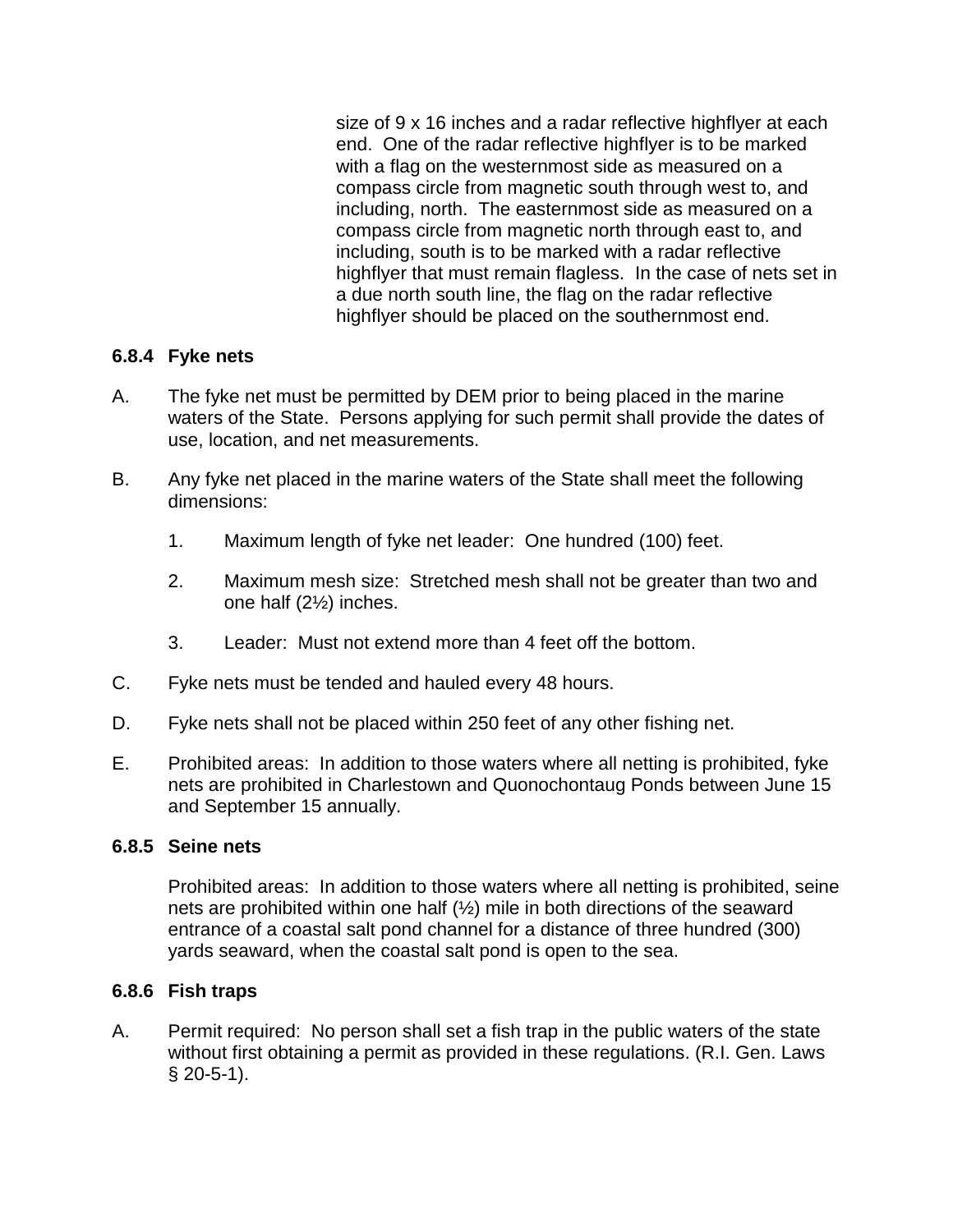size of 9 x 16 inches and a radar reflective highflyer at each end. One of the radar reflective highflyer is to be marked with a flag on the westernmost side as measured on a compass circle from magnetic south through west to, and including, north. The easternmost side as measured on a compass circle from magnetic north through east to, and including, south is to be marked with a radar reflective highflyer that must remain flagless. In the case of nets set in a due north south line, the flag on the radar reflective highflyer should be placed on the southernmost end.

#### **6.8.4 Fyke nets**

- A. The fyke net must be permitted by DEM prior to being placed in the marine waters of the State. Persons applying for such permit shall provide the dates of use, location, and net measurements.
- B. Any fyke net placed in the marine waters of the State shall meet the following dimensions:
	- 1. Maximum length of fyke net leader: One hundred (100) feet.
	- 2. Maximum mesh size: Stretched mesh shall not be greater than two and one half (2½) inches.
	- 3. Leader: Must not extend more than 4 feet off the bottom.
- C. Fyke nets must be tended and hauled every 48 hours.
- D. Fyke nets shall not be placed within 250 feet of any other fishing net.
- E. Prohibited areas: In addition to those waters where all netting is prohibited, fyke nets are prohibited in Charlestown and Quonochontaug Ponds between June 15 and September 15 annually.

#### **6.8.5 Seine nets**

Prohibited areas: In addition to those waters where all netting is prohibited, seine nets are prohibited within one half (½) mile in both directions of the seaward entrance of a coastal salt pond channel for a distance of three hundred (300) yards seaward, when the coastal salt pond is open to the sea.

#### **6.8.6 Fish traps**

A. Permit required: No person shall set a fish trap in the public waters of the state without first obtaining a permit as provided in these regulations. (R.I. Gen. Laws § 20-5-1).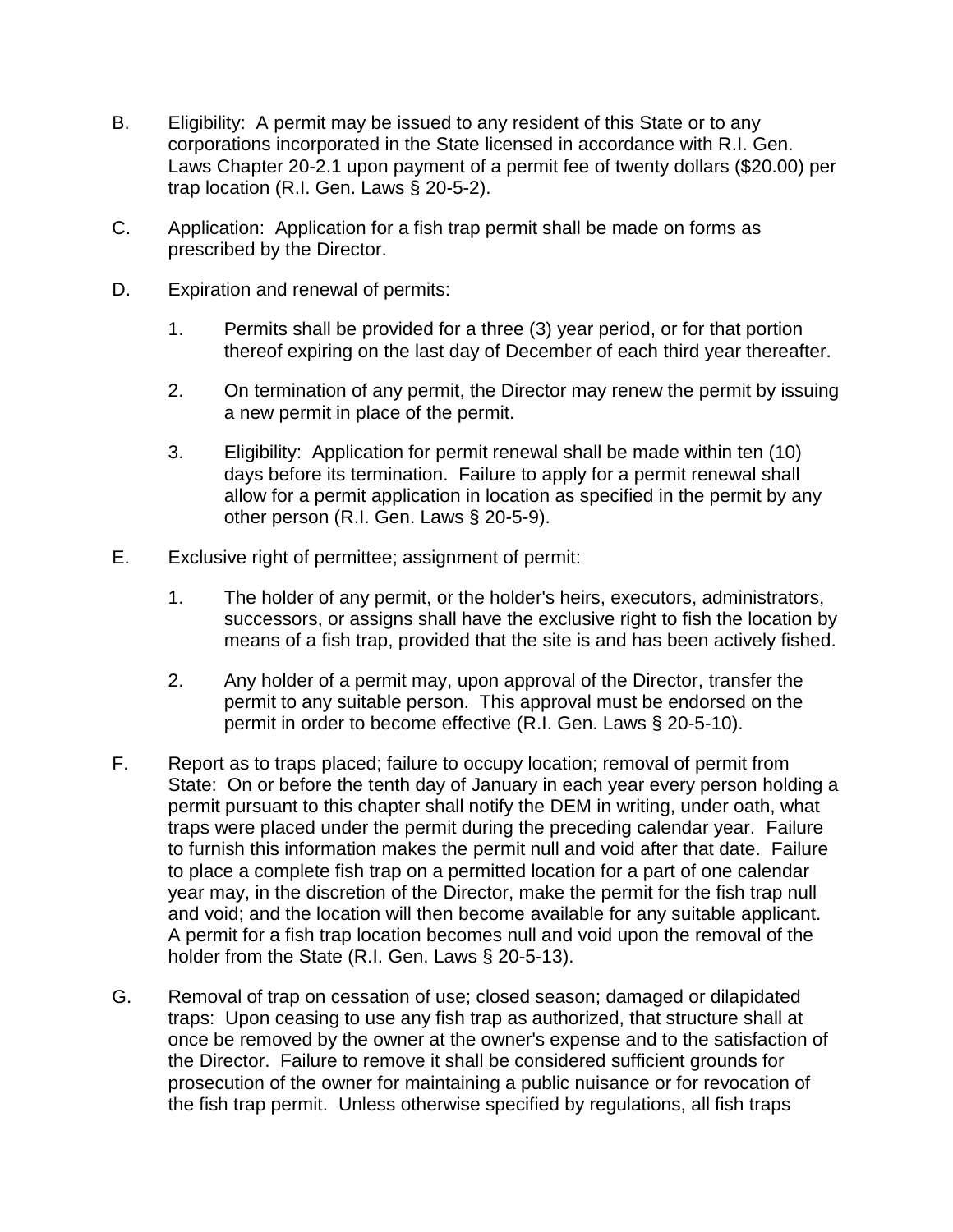- B. Eligibility: A permit may be issued to any resident of this State or to any corporations incorporated in the State licensed in accordance with R.I. Gen. Laws Chapter 20-2.1 upon payment of a permit fee of twenty dollars (\$20.00) per trap location (R.I. Gen. Laws § 20-5-2).
- C. Application: Application for a fish trap permit shall be made on forms as prescribed by the Director.
- D. Expiration and renewal of permits:
	- 1. Permits shall be provided for a three (3) year period, or for that portion thereof expiring on the last day of December of each third year thereafter.
	- 2. On termination of any permit, the Director may renew the permit by issuing a new permit in place of the permit.
	- 3. Eligibility: Application for permit renewal shall be made within ten (10) days before its termination. Failure to apply for a permit renewal shall allow for a permit application in location as specified in the permit by any other person (R.I. Gen. Laws § 20-5-9).
- E. Exclusive right of permittee; assignment of permit:
	- 1. The holder of any permit, or the holder's heirs, executors, administrators, successors, or assigns shall have the exclusive right to fish the location by means of a fish trap, provided that the site is and has been actively fished.
	- 2. Any holder of a permit may, upon approval of the Director, transfer the permit to any suitable person. This approval must be endorsed on the permit in order to become effective (R.I. Gen. Laws § 20-5-10).
- F. Report as to traps placed; failure to occupy location; removal of permit from State: On or before the tenth day of January in each year every person holding a permit pursuant to this chapter shall notify the DEM in writing, under oath, what traps were placed under the permit during the preceding calendar year. Failure to furnish this information makes the permit null and void after that date. Failure to place a complete fish trap on a permitted location for a part of one calendar year may, in the discretion of the Director, make the permit for the fish trap null and void; and the location will then become available for any suitable applicant. A permit for a fish trap location becomes null and void upon the removal of the holder from the State (R.I. Gen. Laws § 20-5-13).
- G. Removal of trap on cessation of use; closed season; damaged or dilapidated traps: Upon ceasing to use any fish trap as authorized, that structure shall at once be removed by the owner at the owner's expense and to the satisfaction of the Director. Failure to remove it shall be considered sufficient grounds for prosecution of the owner for maintaining a public nuisance or for revocation of the fish trap permit. Unless otherwise specified by regulations, all fish traps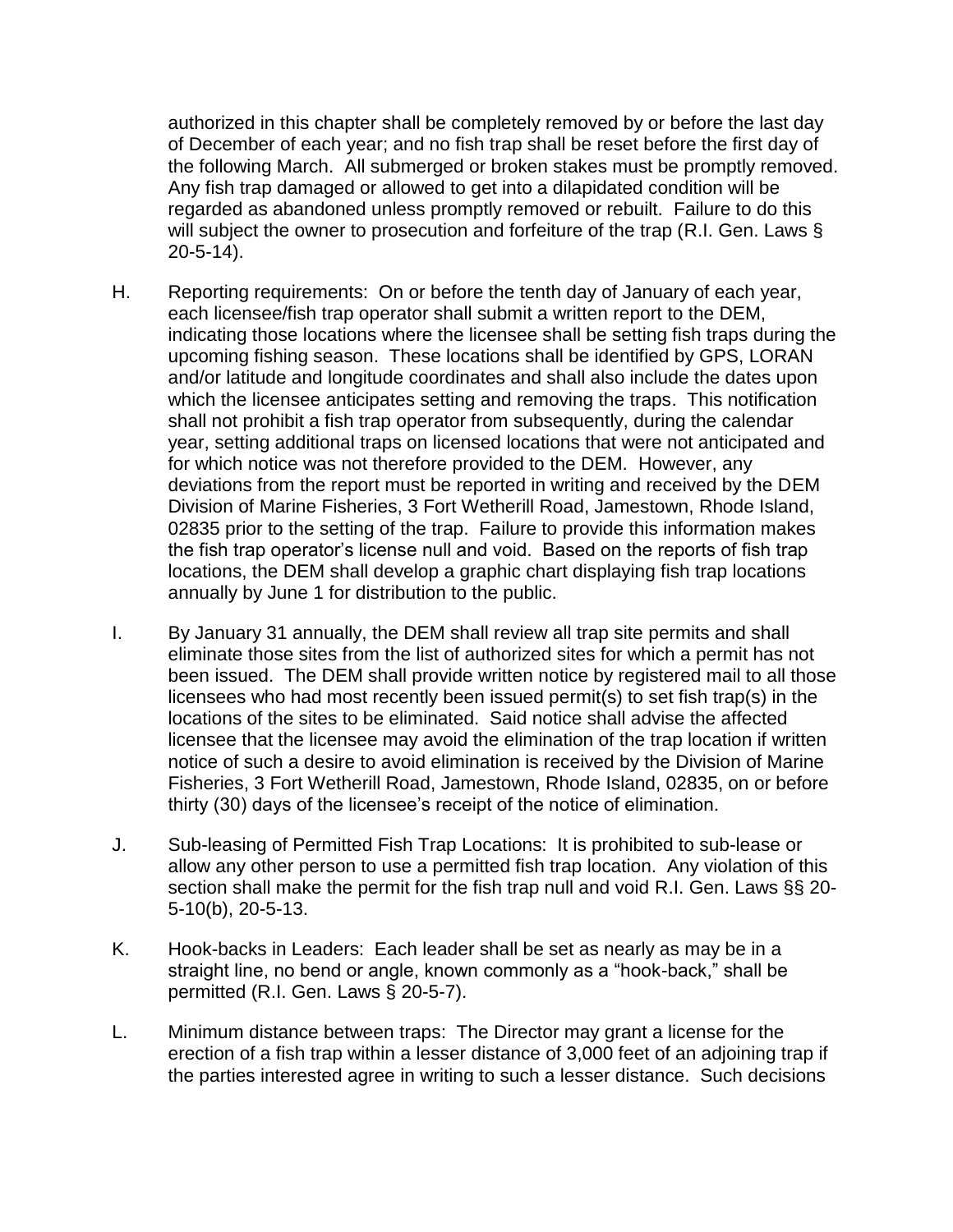authorized in this chapter shall be completely removed by or before the last day of December of each year; and no fish trap shall be reset before the first day of the following March. All submerged or broken stakes must be promptly removed. Any fish trap damaged or allowed to get into a dilapidated condition will be regarded as abandoned unless promptly removed or rebuilt. Failure to do this will subject the owner to prosecution and forfeiture of the trap (R.I. Gen. Laws § 20-5-14).

- H. Reporting requirements: On or before the tenth day of January of each year, each licensee/fish trap operator shall submit a written report to the DEM, indicating those locations where the licensee shall be setting fish traps during the upcoming fishing season. These locations shall be identified by GPS, LORAN and/or latitude and longitude coordinates and shall also include the dates upon which the licensee anticipates setting and removing the traps. This notification shall not prohibit a fish trap operator from subsequently, during the calendar year, setting additional traps on licensed locations that were not anticipated and for which notice was not therefore provided to the DEM. However, any deviations from the report must be reported in writing and received by the DEM Division of Marine Fisheries, 3 Fort Wetherill Road, Jamestown, Rhode Island, 02835 prior to the setting of the trap. Failure to provide this information makes the fish trap operator's license null and void. Based on the reports of fish trap locations, the DEM shall develop a graphic chart displaying fish trap locations annually by June 1 for distribution to the public.
- I. By January 31 annually, the DEM shall review all trap site permits and shall eliminate those sites from the list of authorized sites for which a permit has not been issued. The DEM shall provide written notice by registered mail to all those licensees who had most recently been issued permit(s) to set fish trap(s) in the locations of the sites to be eliminated. Said notice shall advise the affected licensee that the licensee may avoid the elimination of the trap location if written notice of such a desire to avoid elimination is received by the Division of Marine Fisheries, 3 Fort Wetherill Road, Jamestown, Rhode Island, 02835, on or before thirty (30) days of the licensee's receipt of the notice of elimination.
- J. Sub-leasing of Permitted Fish Trap Locations: It is prohibited to sub-lease or allow any other person to use a permitted fish trap location. Any violation of this section shall make the permit for the fish trap null and void R.I. Gen. Laws §§ 20- 5-10(b), 20-5-13.
- K. Hook-backs in Leaders: Each leader shall be set as nearly as may be in a straight line, no bend or angle, known commonly as a "hook-back," shall be permitted (R.I. Gen. Laws § 20-5-7).
- L. Minimum distance between traps: The Director may grant a license for the erection of a fish trap within a lesser distance of 3,000 feet of an adjoining trap if the parties interested agree in writing to such a lesser distance. Such decisions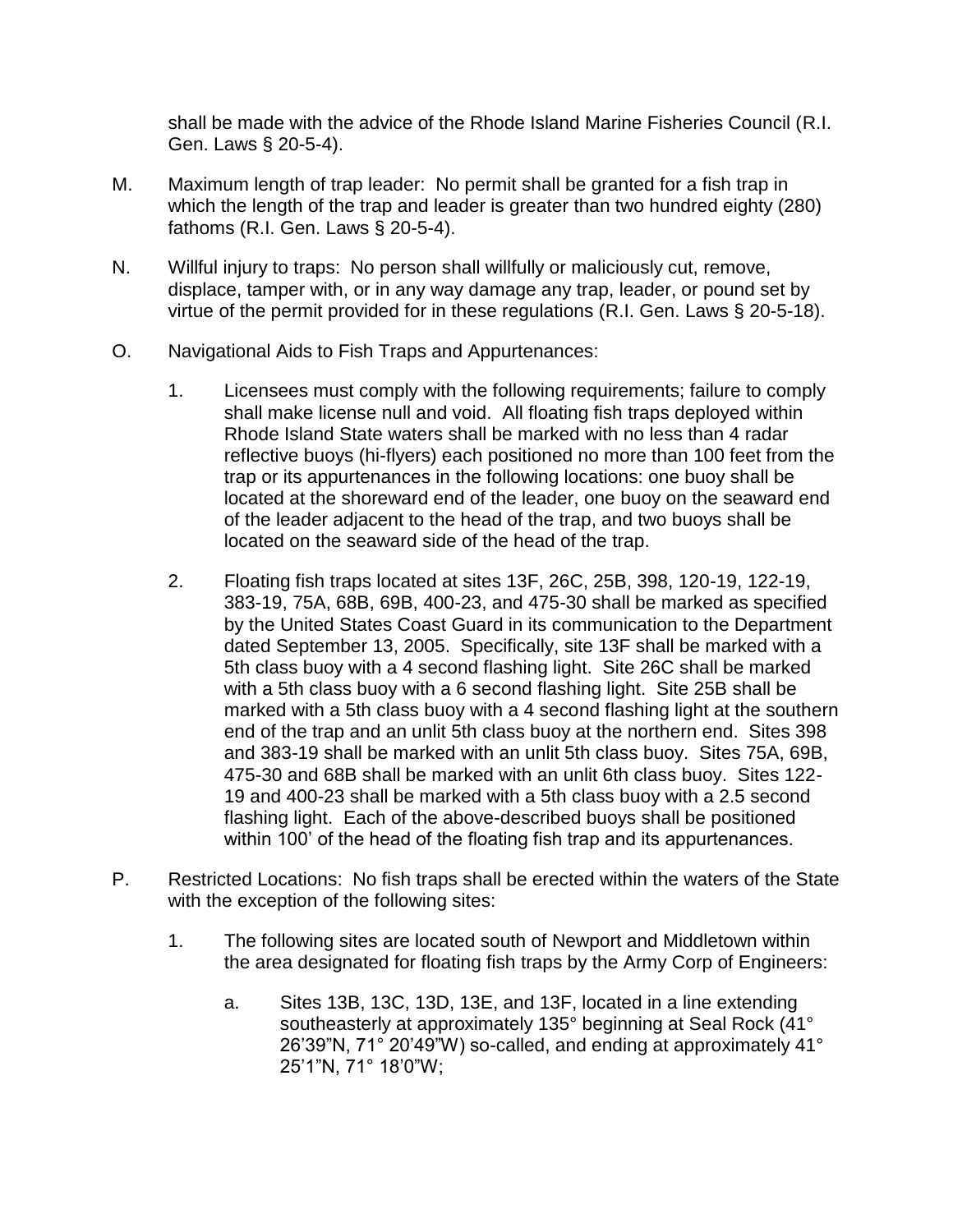shall be made with the advice of the Rhode Island Marine Fisheries Council (R.I. Gen. Laws § 20-5-4).

- M. Maximum length of trap leader: No permit shall be granted for a fish trap in which the length of the trap and leader is greater than two hundred eighty (280) fathoms (R.I. Gen. Laws § 20-5-4).
- N. Willful injury to traps: No person shall willfully or maliciously cut, remove, displace, tamper with, or in any way damage any trap, leader, or pound set by virtue of the permit provided for in these regulations (R.I. Gen. Laws § 20-5-18).
- O. Navigational Aids to Fish Traps and Appurtenances:
	- 1. Licensees must comply with the following requirements; failure to comply shall make license null and void. All floating fish traps deployed within Rhode Island State waters shall be marked with no less than 4 radar reflective buoys (hi-flyers) each positioned no more than 100 feet from the trap or its appurtenances in the following locations: one buoy shall be located at the shoreward end of the leader, one buoy on the seaward end of the leader adjacent to the head of the trap, and two buoys shall be located on the seaward side of the head of the trap.
	- 2. Floating fish traps located at sites 13F, 26C, 25B, 398, 120-19, 122-19, 383-19, 75A, 68B, 69B, 400-23, and 475-30 shall be marked as specified by the United States Coast Guard in its communication to the Department dated September 13, 2005. Specifically, site 13F shall be marked with a 5th class buoy with a 4 second flashing light. Site 26C shall be marked with a 5th class buoy with a 6 second flashing light. Site 25B shall be marked with a 5th class buoy with a 4 second flashing light at the southern end of the trap and an unlit 5th class buoy at the northern end. Sites 398 and 383-19 shall be marked with an unlit 5th class buoy. Sites 75A, 69B, 475-30 and 68B shall be marked with an unlit 6th class buoy. Sites 122- 19 and 400-23 shall be marked with a 5th class buoy with a 2.5 second flashing light. Each of the above-described buoys shall be positioned within 100' of the head of the floating fish trap and its appurtenances.
- P. Restricted Locations: No fish traps shall be erected within the waters of the State with the exception of the following sites:
	- 1. The following sites are located south of Newport and Middletown within the area designated for floating fish traps by the Army Corp of Engineers:
		- a. Sites 13B, 13C, 13D, 13E, and 13F, located in a line extending southeasterly at approximately 135° beginning at Seal Rock (41° 26'39"N, 71° 20'49"W) so-called, and ending at approximately 41° 25'1"N, 71° 18'0"W;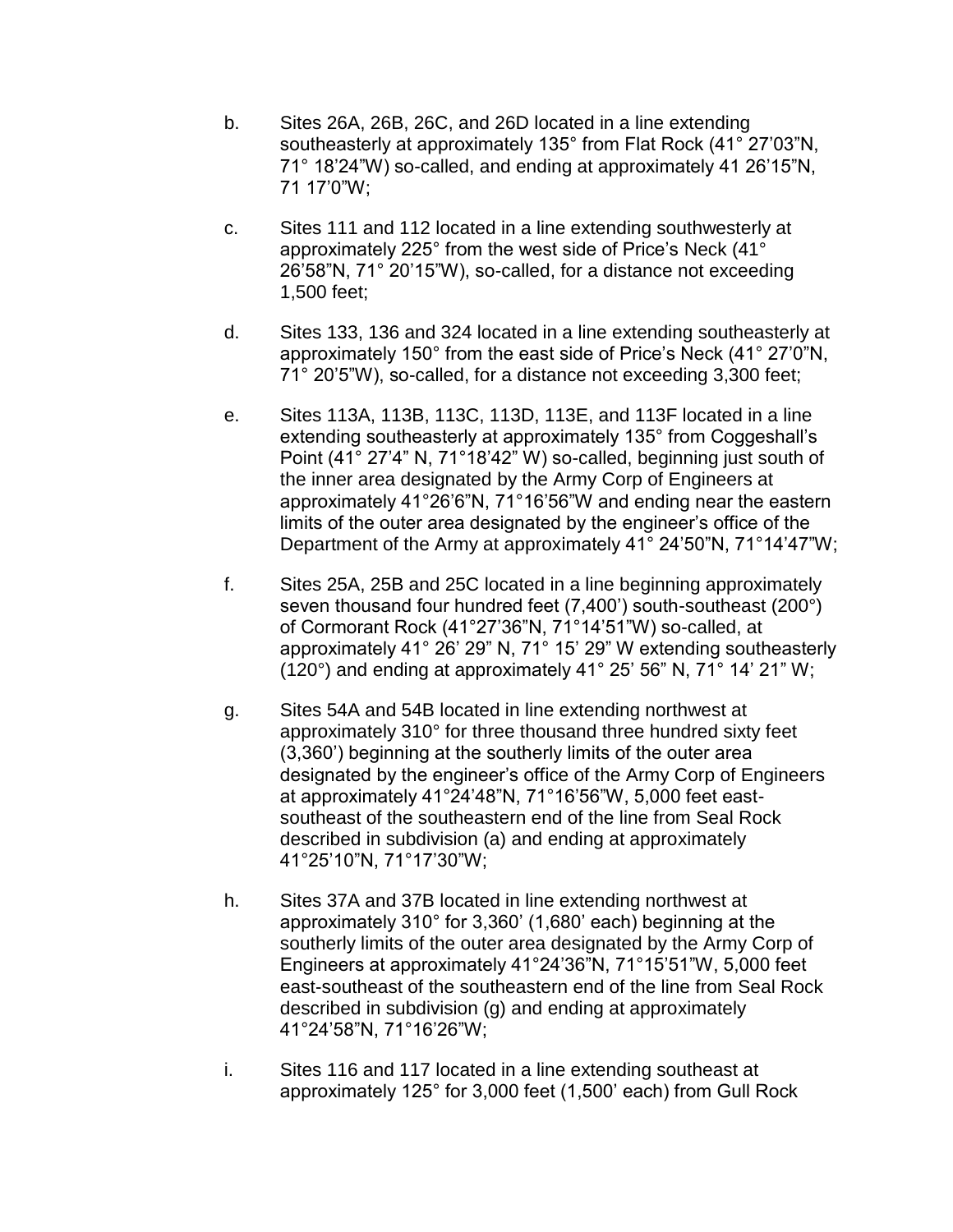- b. Sites 26A, 26B, 26C, and 26D located in a line extending southeasterly at approximately 135° from Flat Rock (41° 27'03"N, 71° 18'24"W) so-called, and ending at approximately 41 26'15"N, 71 17'0"W;
- c. Sites 111 and 112 located in a line extending southwesterly at approximately 225° from the west side of Price's Neck (41° 26'58"N, 71° 20'15"W), so-called, for a distance not exceeding 1,500 feet;
- d. Sites 133, 136 and 324 located in a line extending southeasterly at approximately 150° from the east side of Price's Neck (41° 27'0"N, 71° 20'5"W), so-called, for a distance not exceeding 3,300 feet;
- e. Sites 113A, 113B, 113C, 113D, 113E, and 113F located in a line extending southeasterly at approximately 135° from Coggeshall's Point (41° 27'4" N, 71°18'42" W) so-called, beginning just south of the inner area designated by the Army Corp of Engineers at approximately 41°26'6"N, 71°16'56"W and ending near the eastern limits of the outer area designated by the engineer's office of the Department of the Army at approximately 41° 24'50"N, 71°14'47"W;
- f. Sites 25A, 25B and 25C located in a line beginning approximately seven thousand four hundred feet (7,400') south-southeast (200°) of Cormorant Rock (41°27'36"N, 71°14'51"W) so-called, at approximately 41° 26' 29" N, 71° 15' 29" W extending southeasterly (120°) and ending at approximately 41° 25' 56" N, 71° 14' 21" W;
- g. Sites 54A and 54B located in line extending northwest at approximately 310° for three thousand three hundred sixty feet (3,360') beginning at the southerly limits of the outer area designated by the engineer's office of the Army Corp of Engineers at approximately 41°24'48"N, 71°16'56"W, 5,000 feet eastsoutheast of the southeastern end of the line from Seal Rock described in subdivision (a) and ending at approximately 41°25'10"N, 71°17'30"W;
- h. Sites 37A and 37B located in line extending northwest at approximately 310° for 3,360' (1,680' each) beginning at the southerly limits of the outer area designated by the Army Corp of Engineers at approximately 41°24'36"N, 71°15'51"W, 5,000 feet east-southeast of the southeastern end of the line from Seal Rock described in subdivision (g) and ending at approximately 41°24'58"N, 71°16'26"W;
- i. Sites 116 and 117 located in a line extending southeast at approximately 125° for 3,000 feet (1,500' each) from Gull Rock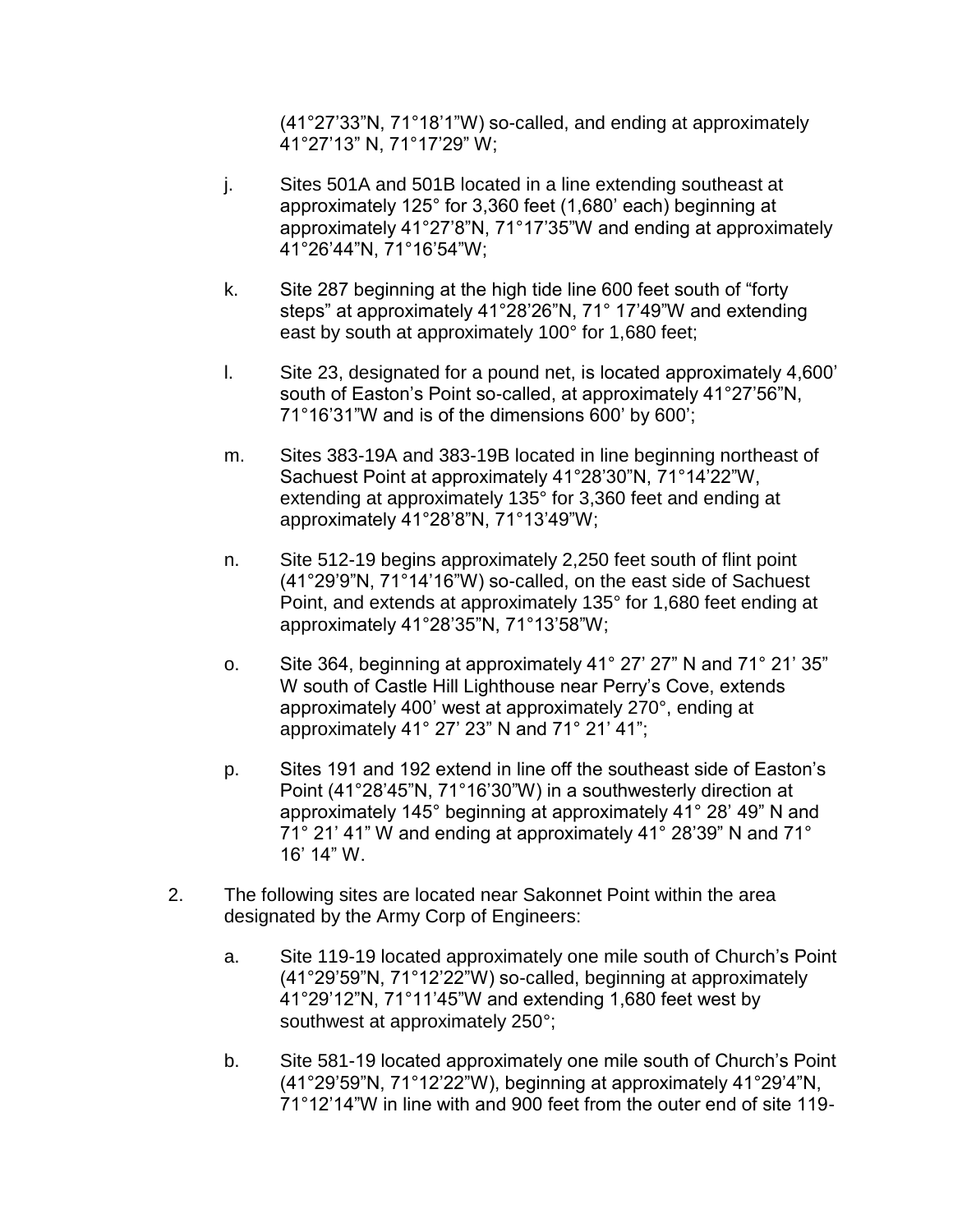(41°27'33"N, 71°18'1"W) so-called, and ending at approximately 41°27'13" N, 71°17'29" W;

- j. Sites 501A and 501B located in a line extending southeast at approximately 125° for 3,360 feet (1,680' each) beginning at approximately 41°27'8"N, 71°17'35"W and ending at approximately 41°26'44"N, 71°16'54"W;
- k. Site 287 beginning at the high tide line 600 feet south of "forty steps" at approximately 41°28'26"N, 71° 17'49"W and extending east by south at approximately 100° for 1,680 feet;
- l. Site 23, designated for a pound net, is located approximately 4,600' south of Easton's Point so-called, at approximately 41°27'56"N, 71°16'31"W and is of the dimensions 600' by 600';
- m. Sites 383-19A and 383-19B located in line beginning northeast of Sachuest Point at approximately 41°28'30"N, 71°14'22"W, extending at approximately 135° for 3,360 feet and ending at approximately 41°28'8"N, 71°13'49"W;
- n. Site 512-19 begins approximately 2,250 feet south of flint point (41°29'9"N, 71°14'16"W) so-called, on the east side of Sachuest Point, and extends at approximately 135° for 1,680 feet ending at approximately 41°28'35"N, 71°13'58"W;
- o. Site 364, beginning at approximately 41° 27' 27" N and 71° 21' 35" W south of Castle Hill Lighthouse near Perry's Cove, extends approximately 400' west at approximately 270°, ending at approximately 41° 27' 23" N and 71° 21' 41";
- p. Sites 191 and 192 extend in line off the southeast side of Easton's Point (41°28'45"N, 71°16'30"W) in a southwesterly direction at approximately 145° beginning at approximately 41° 28' 49" N and 71° 21' 41" W and ending at approximately 41° 28'39" N and 71° 16' 14" W.
- 2. The following sites are located near Sakonnet Point within the area designated by the Army Corp of Engineers:
	- a. Site 119-19 located approximately one mile south of Church's Point (41°29'59"N, 71°12'22"W) so-called, beginning at approximately 41°29'12"N, 71°11'45"W and extending 1,680 feet west by southwest at approximately 250°;
	- b. Site 581-19 located approximately one mile south of Church's Point (41°29'59"N, 71°12'22"W), beginning at approximately 41°29'4"N, 71°12'14"W in line with and 900 feet from the outer end of site 119-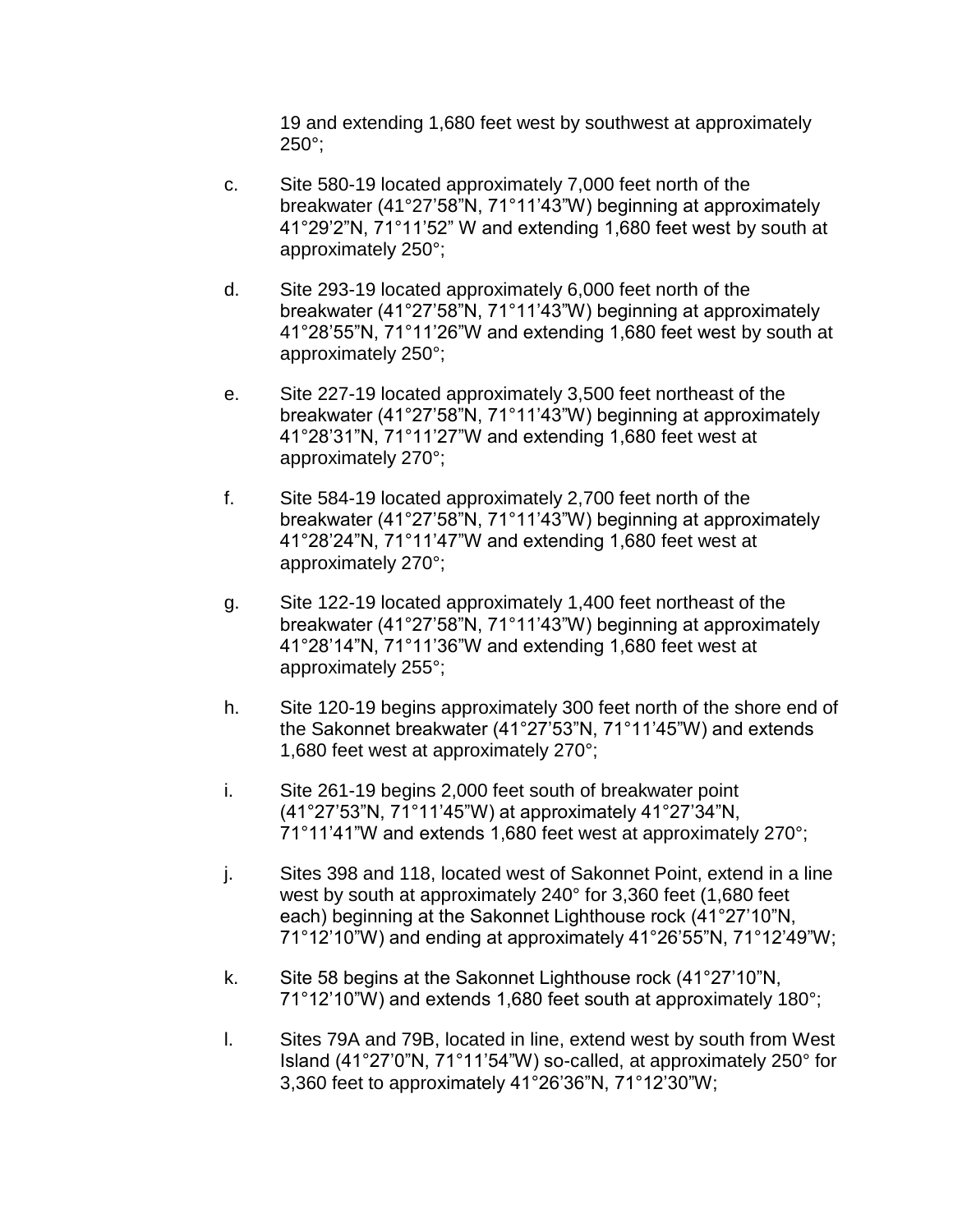19 and extending 1,680 feet west by southwest at approximately 250°;

- c. Site 580-19 located approximately 7,000 feet north of the breakwater (41°27'58"N, 71°11'43"W) beginning at approximately 41°29'2"N, 71°11'52" W and extending 1,680 feet west by south at approximately 250°;
- d. Site 293-19 located approximately 6,000 feet north of the breakwater (41°27'58"N, 71°11'43"W) beginning at approximately 41°28'55"N, 71°11'26"W and extending 1,680 feet west by south at approximately 250°;
- e. Site 227-19 located approximately 3,500 feet northeast of the breakwater (41°27'58"N, 71°11'43"W) beginning at approximately 41°28'31"N, 71°11'27"W and extending 1,680 feet west at approximately 270°;
- f. Site 584-19 located approximately 2,700 feet north of the breakwater (41°27'58"N, 71°11'43"W) beginning at approximately 41°28'24"N, 71°11'47"W and extending 1,680 feet west at approximately 270°;
- g. Site 122-19 located approximately 1,400 feet northeast of the breakwater (41°27'58"N, 71°11'43"W) beginning at approximately 41°28'14"N, 71°11'36"W and extending 1,680 feet west at approximately 255°;
- h. Site 120-19 begins approximately 300 feet north of the shore end of the Sakonnet breakwater (41°27'53"N, 71°11'45"W) and extends 1,680 feet west at approximately 270°;
- i. Site 261-19 begins 2,000 feet south of breakwater point (41°27'53"N, 71°11'45"W) at approximately 41°27'34"N, 71°11'41"W and extends 1,680 feet west at approximately 270°;
- j. Sites 398 and 118, located west of Sakonnet Point, extend in a line west by south at approximately 240° for 3,360 feet (1,680 feet each) beginning at the Sakonnet Lighthouse rock (41°27'10"N, 71°12'10"W) and ending at approximately 41°26'55"N, 71°12'49"W;
- k. Site 58 begins at the Sakonnet Lighthouse rock (41°27'10"N, 71°12'10"W) and extends 1,680 feet south at approximately 180°;
- l. Sites 79A and 79B, located in line, extend west by south from West Island (41°27'0"N, 71°11'54"W) so-called, at approximately 250° for 3,360 feet to approximately 41°26'36"N, 71°12'30"W;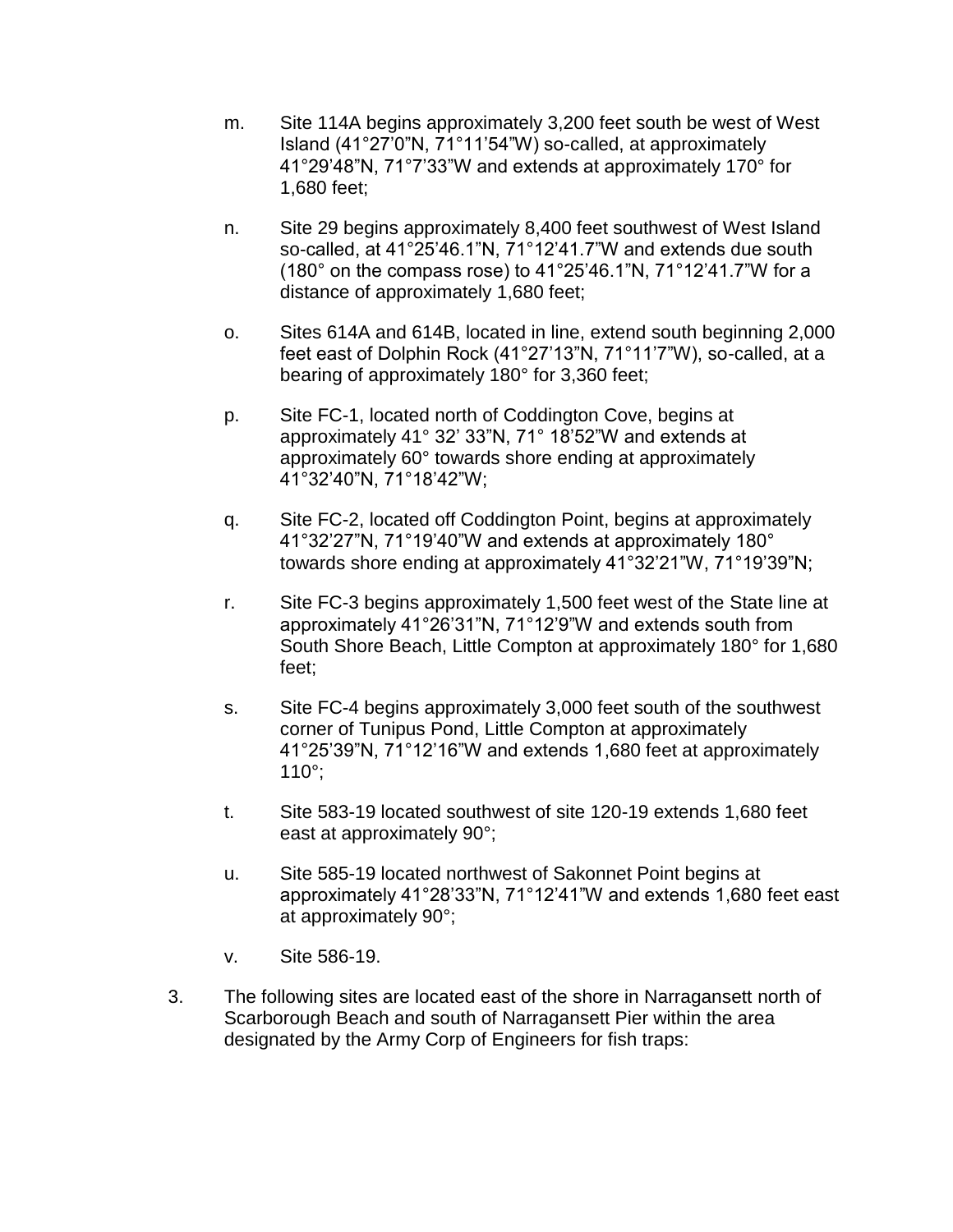- m. Site 114A begins approximately 3,200 feet south be west of West Island (41°27'0"N, 71°11'54"W) so-called, at approximately 41°29'48"N, 71°7'33"W and extends at approximately 170° for 1,680 feet;
- n. Site 29 begins approximately 8,400 feet southwest of West Island so-called, at 41°25'46.1"N, 71°12'41.7"W and extends due south (180° on the compass rose) to 41°25'46.1"N, 71°12'41.7"W for a distance of approximately 1,680 feet;
- o. Sites 614A and 614B, located in line, extend south beginning 2,000 feet east of Dolphin Rock (41°27'13"N, 71°11'7"W), so-called, at a bearing of approximately 180° for 3,360 feet;
- p. Site FC-1, located north of Coddington Cove, begins at approximately 41° 32' 33"N, 71° 18'52"W and extends at approximately 60° towards shore ending at approximately 41°32'40"N, 71°18'42"W;
- q. Site FC-2, located off Coddington Point, begins at approximately 41°32'27"N, 71°19'40"W and extends at approximately 180° towards shore ending at approximately 41°32'21"W, 71°19'39"N;
- r. Site FC-3 begins approximately 1,500 feet west of the State line at approximately 41°26'31"N, 71°12'9"W and extends south from South Shore Beach, Little Compton at approximately 180° for 1,680 feet;
- s. Site FC-4 begins approximately 3,000 feet south of the southwest corner of Tunipus Pond, Little Compton at approximately 41°25'39"N, 71°12'16"W and extends 1,680 feet at approximately 110°;
- t. Site 583-19 located southwest of site 120-19 extends 1,680 feet east at approximately 90°;
- u. Site 585-19 located northwest of Sakonnet Point begins at approximately 41°28'33"N, 71°12'41"W and extends 1,680 feet east at approximately 90°;
- v. Site 586-19.
- 3. The following sites are located east of the shore in Narragansett north of Scarborough Beach and south of Narragansett Pier within the area designated by the Army Corp of Engineers for fish traps: